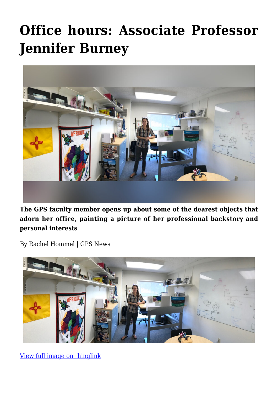# **[Office hours: Associate Professor](https://gpsnews.ucsd.edu/office-hours-assistant-professor-jennifer-burney/) [Jennifer Burney](https://gpsnews.ucsd.edu/office-hours-assistant-professor-jennifer-burney/)**



**The GPS faculty member opens up about some of the dearest objects that adorn her office, painting a picture of her professional backstory and personal interests**

By Rachel Hommel | GPS News



[View full image on thinglink](https://www.thinglink.com/scene/1068295178906763267)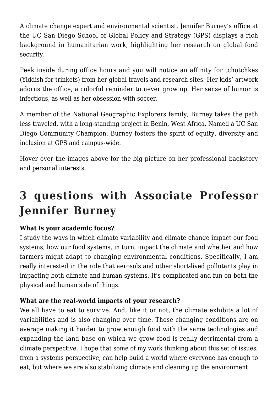A climate change expert and environmental scientist, Jennifer Burney's office at the UC San Diego School of Global Policy and Strategy (GPS) displays a rich background in humanitarian work, highlighting her research on global food security.

Peek inside during office hours and you will notice an affinity for tchotchkes (Yiddish for trinkets) from her global travels and research sites. Her kids' artwork adorns the office, a colorful reminder to never grow up. Her sense of humor is infectious, as well as her obsession with soccer.

A member of the National Geographic Explorers family, Burney takes the path less traveled, with a long-standing project in Benin, West Africa. Named a UC San Diego Community Champion, Burney fosters the spirit of equity, diversity and inclusion at GPS and campus-wide.

Hover over the images above for the big picture on her professional backstory and personal interests.

# **3 questions with Associate Professor Jennifer Burney**

## **What is your academic focus?**

I study the ways in which climate variability and climate change impact our food systems, how our food systems, in turn, impact the climate and whether and how farmers might adapt to changing environmental conditions. Specifically, I am really interested in the role that aerosols and other short-lived pollutants play in impacting both climate and human systems. It's complicated and fun on both the physical and human side of things.

#### **What are the real-world impacts of your research?**

We all have to eat to survive. And, like it or not, the climate exhibits a lot of variabilities and is also changing over time. Those changing conditions are on average making it harder to grow enough food with the same technologies and expanding the land base on which we grow food is really detrimental from a climate perspective. I hope that some of my work thinking about this set of issues, from a systems perspective, can help build a world where everyone has enough to eat, but where we are also stabilizing climate and cleaning up the environment.